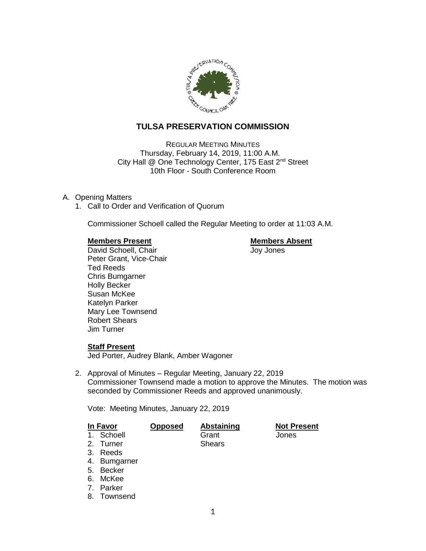

# **TULSA PRESERVATION COMMISSION**

REGULAR MEETING MINUTES Thursday, February 14, 2019, 11:00 A.M. City Hall @ One Technology Center, 175 East 2<sup>nd</sup> Street 10th Floor - South Conference Room

## A. Opening Matters

1. Call to Order and Verification of Quorum

Commissioner Schoell called the Regular Meeting to order at 11:03 A.M.

## **Members Present Communist Communist Present Communist Present**

David Schoell, Chair **Joy Jones** Peter Grant, Vice-Chair Ted Reeds Chris Bumgarner Holly Becker Susan McKee Katelyn Parker Mary Lee Townsend Robert Shears Jim Turner

## **Staff Present**

Jed Porter, Audrey Blank, Amber Wagoner

2. Approval of Minutes – Regular Meeting, January 22, 2019 Commissioner Townsend made a motion to approve the Minutes. The motion was seconded by Commissioner Reeds and approved unanimously.

Vote: Meeting Minutes, January 22, 2019

| In Favor |            | <b>Opposed</b> | Abstaining | <b>Not Present</b> |
|----------|------------|----------------|------------|--------------------|
|          | 1. Schoell |                | Grant      | Jones              |
|          | 2. Turner  |                | Shears     |                    |

- 3. Reeds
- 4. Bumgarner
- 5. Becker
- 6. McKee
- 7. Parker
- 8. Townsend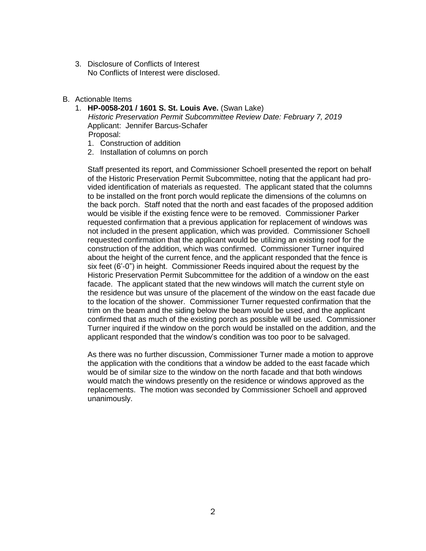- 3. Disclosure of Conflicts of Interest No Conflicts of Interest were disclosed.
- B. Actionable Items
	- 1. **HP-0058-201 / 1601 S. St. Louis Ave.** (Swan Lake) *Historic Preservation Permit Subcommittee Review Date: February 7, 2019* Applicant: Jennifer Barcus-Schafer Proposal:
		- 1. Construction of addition
		- 2. Installation of columns on porch

Staff presented its report, and Commissioner Schoell presented the report on behalf of the Historic Preservation Permit Subcommittee, noting that the applicant had provided identification of materials as requested. The applicant stated that the columns to be installed on the front porch would replicate the dimensions of the columns on the back porch. Staff noted that the north and east facades of the proposed addition would be visible if the existing fence were to be removed. Commissioner Parker requested confirmation that a previous application for replacement of windows was not included in the present application, which was provided. Commissioner Schoell requested confirmation that the applicant would be utilizing an existing roof for the construction of the addition, which was confirmed. Commissioner Turner inquired about the height of the current fence, and the applicant responded that the fence is six feet (6'-0") in height. Commissioner Reeds inquired about the request by the Historic Preservation Permit Subcommittee for the addition of a window on the east facade. The applicant stated that the new windows will match the current style on the residence but was unsure of the placement of the window on the east facade due to the location of the shower. Commissioner Turner requested confirmation that the trim on the beam and the siding below the beam would be used, and the applicant confirmed that as much of the existing porch as possible will be used. Commissioner Turner inquired if the window on the porch would be installed on the addition, and the applicant responded that the window's condition was too poor to be salvaged.

As there was no further discussion, Commissioner Turner made a motion to approve the application with the conditions that a window be added to the east facade which would be of similar size to the window on the north facade and that both windows would match the windows presently on the residence or windows approved as the replacements. The motion was seconded by Commissioner Schoell and approved unanimously.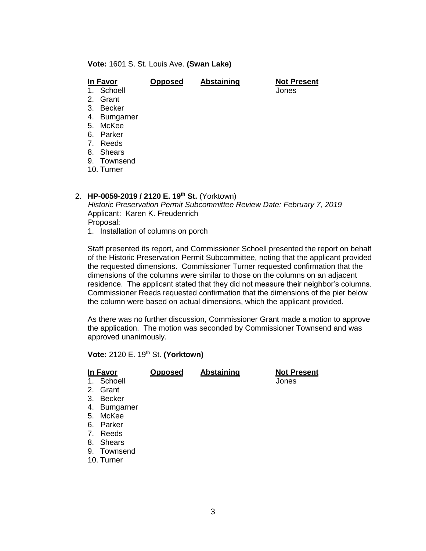**Vote:** 1601 S. St. Louis Ave. **(Swan Lake)**

| In Favor                                | <b>Opposed</b> | <b>Abstaining</b> | <b>Not Present</b> |
|-----------------------------------------|----------------|-------------------|--------------------|
| 1. Schoell                              |                |                   | Jones              |
| 2. Grant                                |                |                   |                    |
| <b>Becker</b><br>3.                     |                |                   |                    |
| 4. Bumgarner                            |                |                   |                    |
| 5. McKee                                |                |                   |                    |
| Parker<br>6.                            |                |                   |                    |
| Reeds<br>$7_{\scriptscriptstyle{\sim}}$ |                |                   |                    |
| Shears<br>8.                            |                |                   |                    |
| 9. Townsend                             |                |                   |                    |
| 10. Turner                              |                |                   |                    |
|                                         |                |                   |                    |

## 2. **HP-0059-2019 / 2120 E. 19th St.** (Yorktown)

*Historic Preservation Permit Subcommittee Review Date: February 7, 2019* Applicant: Karen K. Freudenrich Proposal: 1. Installation of columns on porch

Staff presented its report, and Commissioner Schoell presented the report on behalf of the Historic Preservation Permit Subcommittee, noting that the applicant provided the requested dimensions. Commissioner Turner requested confirmation that the dimensions of the columns were similar to those on the columns on an adjacent residence. The applicant stated that they did not measure their neighbor's columns. Commissioner Reeds requested confirmation that the dimensions of the pier below the column were based on actual dimensions, which the applicant provided.

As there was no further discussion, Commissioner Grant made a motion to approve the application. The motion was seconded by Commissioner Townsend and was approved unanimously.

**Vote:** 2120 E. 19th St. **(Yorktown)**

| In Favor       |                  | <b>Opposed</b> | <b>Abstaining</b> | <b>Not Present</b> |
|----------------|------------------|----------------|-------------------|--------------------|
| $1_{\cdot}$    | Schoell          |                |                   | Jones              |
| 2.             | Grant            |                |                   |                    |
| 3.             | Becker           |                |                   |                    |
| 4.             | <b>Bumgarner</b> |                |                   |                    |
| 5.             | McKee            |                |                   |                    |
| 6.             | Parker           |                |                   |                    |
| 7 <sub>1</sub> | Reeds            |                |                   |                    |
| 8.             | <b>Shears</b>    |                |                   |                    |
| 9.             | Townsend         |                |                   |                    |
|                | 10. Turner       |                |                   |                    |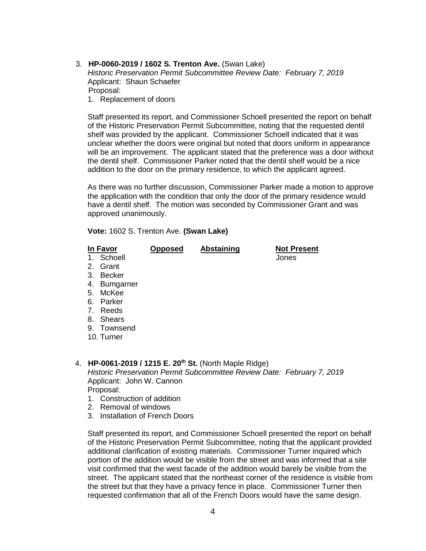3. **HP-0060-2019 / 1602 S. Trenton Ave.** (Swan Lake)

*Historic Preservation Permit Subcommittee Review Date: February 7, 2019* Applicant: Shaun Schaefer Proposal: 1. Replacement of doors

Staff presented its report, and Commissioner Schoell presented the report on behalf of the Historic Preservation Permit Subcommittee, noting that the requested dentil shelf was provided by the applicant. Commissioner Schoell indicated that it was unclear whether the doors were original but noted that doors uniform in appearance will be an improvement. The applicant stated that the preference was a door without the dentil shelf. Commissioner Parker noted that the dentil shelf would be a nice addition to the door on the primary residence, to which the applicant agreed.

As there was no further discussion, Commissioner Parker made a motion to approve the application with the condition that only the door of the primary residence would have a dentil shelf. The motion was seconded by Commissioner Grant and was approved unanimously.

**Vote:** 1602 S. Trenton Ave. **(Swan Lake)**

| In Favor   | <b>Opposed</b> | Abstaining | <b>Not Present</b> |
|------------|----------------|------------|--------------------|
| 1. Schoell |                |            | Jones              |

- 2. Grant
- 3. Becker
- 4. Bumgarner
- 5. McKee
- 6. Parker
- 7. Reeds
- 8. Shears
- 9. Townsend
- 10. Turner

## 4. **HP-0061-2019 / 1215 E. 20th St.** (North Maple Ridge)

*Historic Preservation Permit Subcommittee Review Date: February 7, 2019* Applicant: John W. Cannon Proposal:

- 1. Construction of addition
- 2. Removal of windows
- 3. Installation of French Doors

Staff presented its report, and Commissioner Schoell presented the report on behalf of the Historic Preservation Permit Subcommittee, noting that the applicant provided additional clarification of existing materials. Commissioner Turner inquired which portion of the addition would be visible from the street and was informed that a site visit confirmed that the west facade of the addition would barely be visible from the street. The applicant stated that the northeast corner of the residence is visible from the street but that they have a privacy fence in place. Commissioner Turner then requested confirmation that all of the French Doors would have the same design.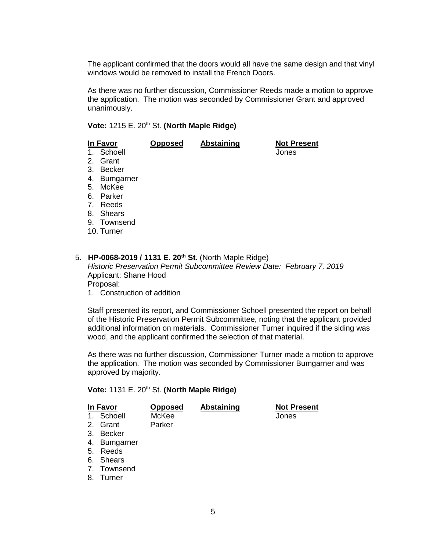The applicant confirmed that the doors would all have the same design and that vinyl windows would be removed to install the French Doors.

As there was no further discussion, Commissioner Reeds made a motion to approve the application. The motion was seconded by Commissioner Grant and approved unanimously.

## Vote: 1215 E. 20<sup>th</sup> St. (North Maple Ridge)

|    | In Favor                                | <b>Opposed</b> | Abstaining                                                           | <b>Not Present</b> |
|----|-----------------------------------------|----------------|----------------------------------------------------------------------|--------------------|
|    | Schoell                                 |                |                                                                      | Jones              |
|    | Grant<br>2.                             |                |                                                                      |                    |
|    | Becker<br>3.                            |                |                                                                      |                    |
|    | Bumgarner<br>4.                         |                |                                                                      |                    |
|    | McKee<br>5.                             |                |                                                                      |                    |
|    | Parker<br>6.                            |                |                                                                      |                    |
|    | $7_{\scriptscriptstyle{\sim}}$<br>Reeds |                |                                                                      |                    |
|    | 8. Shears                               |                |                                                                      |                    |
|    | 9. Townsend                             |                |                                                                      |                    |
|    | 10. Turner                              |                |                                                                      |                    |
|    |                                         |                |                                                                      |                    |
|    |                                         |                |                                                                      |                    |
| 5. |                                         |                | HP-0068-2019 / 1131 E. 20 <sup>th</sup> St. (North Maple Ridge)      |                    |
|    |                                         |                | Historic Preservation Permit Subcommittee Review Date: February 7, 2 |                    |

*Historic Preservation Permit Subcommittee Review Date: February 7, 2019* Applicant: Shane Hood Proposal:

1. Construction of addition

Staff presented its report, and Commissioner Schoell presented the report on behalf of the Historic Preservation Permit Subcommittee, noting that the applicant provided additional information on materials. Commissioner Turner inquired if the siding was wood, and the applicant confirmed the selection of that material.

As there was no further discussion, Commissioner Turner made a motion to approve the application. The motion was seconded by Commissioner Bumgarner and was approved by majority.

#### **Vote:** 1131 E. 20th St. **(North Maple Ridge)**

| In Favor |              | <b>Opposed</b> | Abstaining | <b>Not Present</b> |
|----------|--------------|----------------|------------|--------------------|
|          | 1. Schoell   | McKee          |            | Jones              |
|          | 2. Grant     | Parker         |            |                    |
|          | 3. Becker    |                |            |                    |
|          | 4. Bumgarner |                |            |                    |
|          | 5. Reeds     |                |            |                    |
|          | 6. Shears    |                |            |                    |
|          | 7. Townsend  |                |            |                    |

8. Turner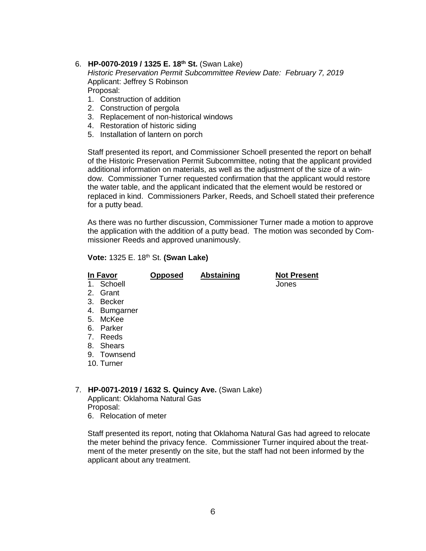## 6. **HP-0070-2019 / 1325 E. 18th St.** (Swan Lake)

*Historic Preservation Permit Subcommittee Review Date: February 7, 2019* Applicant: Jeffrey S Robinson Proposal:

- 1. Construction of addition
- 2. Construction of pergola
- 3. Replacement of non-historical windows
- 4. Restoration of historic siding
- 5. Installation of lantern on porch

Staff presented its report, and Commissioner Schoell presented the report on behalf of the Historic Preservation Permit Subcommittee, noting that the applicant provided additional information on materials, as well as the adjustment of the size of a window. Commissioner Turner requested confirmation that the applicant would restore the water table, and the applicant indicated that the element would be restored or replaced in kind. Commissioners Parker, Reeds, and Schoell stated their preference for a putty bead.

As there was no further discussion, Commissioner Turner made a motion to approve the application with the addition of a putty bead. The motion was seconded by Commissioner Reeds and approved unanimously.

### **Vote:** 1325 E. 18th St. **(Swan Lake)**

| In Favor |              | <b>Opposed</b> | Abstaining | <b>Not Present</b> |
|----------|--------------|----------------|------------|--------------------|
|          | 1. Schoell   |                |            | Jones              |
|          | 2. Grant     |                |            |                    |
|          | 3. Becker    |                |            |                    |
|          | 4. Bumgarner |                |            |                    |
|          | 5. McKee     |                |            |                    |
|          | 6. Parker    |                |            |                    |
|          | 7. Reeds     |                |            |                    |
|          | 8. Shears    |                |            |                    |
|          | 9. Townsend  |                |            |                    |
|          | 10. Turner   |                |            |                    |

### 7. **HP-0071-2019 / 1632 S. Quincy Ave.** (Swan Lake)

Applicant: Oklahoma Natural Gas Proposal: 6. Relocation of meter

Staff presented its report, noting that Oklahoma Natural Gas had agreed to relocate the meter behind the privacy fence. Commissioner Turner inquired about the treatment of the meter presently on the site, but the staff had not been informed by the applicant about any treatment.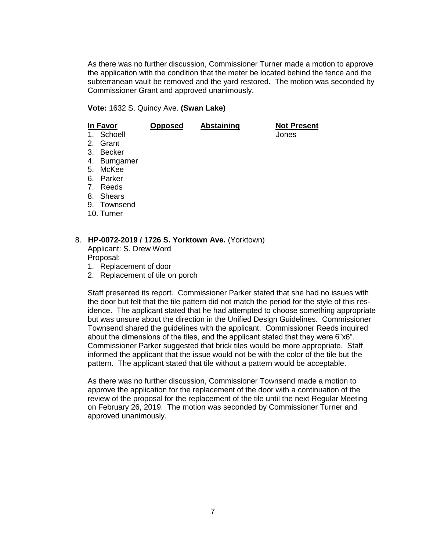As there was no further discussion, Commissioner Turner made a motion to approve the application with the condition that the meter be located behind the fence and the subterranean vault be removed and the yard restored. The motion was seconded by Commissioner Grant and approved unanimously.

**Vote:** 1632 S. Quincy Ave. **(Swan Lake)**

| In Favor                       |                  | <b>Opposed</b> | <b>Abstaining</b> | <b>Not Present</b> |
|--------------------------------|------------------|----------------|-------------------|--------------------|
|                                | 1. Schoell       |                |                   | Jones              |
| 2.                             | Grant            |                |                   |                    |
| 3.                             | <b>Becker</b>    |                |                   |                    |
| 4.                             | <b>Bumgarner</b> |                |                   |                    |
| 5.                             | McKee            |                |                   |                    |
| 6.                             | Parker           |                |                   |                    |
| $7_{\scriptscriptstyle{\sim}}$ | Reeds            |                |                   |                    |
| 8.                             | Shears           |                |                   |                    |
|                                | 9. Townsend      |                |                   |                    |
|                                | 10. Turner       |                |                   |                    |
|                                |                  |                |                   |                    |

## 8. **HP-0072-2019 / 1726 S. Yorktown Ave.** (Yorktown)

Applicant: S. Drew Word Proposal:

- 1. Replacement of door
- 2. Replacement of tile on porch

Staff presented its report. Commissioner Parker stated that she had no issues with the door but felt that the tile pattern did not match the period for the style of this residence. The applicant stated that he had attempted to choose something appropriate but was unsure about the direction in the Unified Design Guidelines. Commissioner Townsend shared the guidelines with the applicant. Commissioner Reeds inquired about the dimensions of the tiles, and the applicant stated that they were 6"x6". Commissioner Parker suggested that brick tiles would be more appropriate. Staff informed the applicant that the issue would not be with the color of the tile but the pattern. The applicant stated that tile without a pattern would be acceptable.

As there was no further discussion, Commissioner Townsend made a motion to approve the application for the replacement of the door with a continuation of the review of the proposal for the replacement of the tile until the next Regular Meeting on February 26, 2019. The motion was seconded by Commissioner Turner and approved unanimously.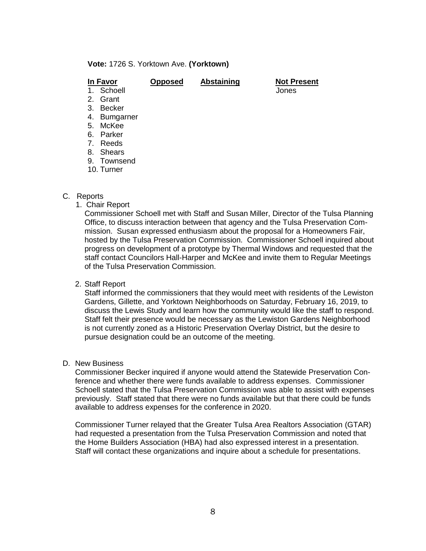#### **Vote:** 1726 S. Yorktown Ave. **(Yorktown)**

| In Favor               | <b>Opposed</b> | Abstaining | <b>Not Present</b> |
|------------------------|----------------|------------|--------------------|
| 1. Schoell             |                |            | Jones              |
| 2. Grant               |                |            |                    |
| Becker<br>3.           |                |            |                    |
| <b>Bumgarner</b><br>4. |                |            |                    |
| McKee<br>5.            |                |            |                    |
| Parker<br>6.           |                |            |                    |
| 7. Reeds               |                |            |                    |
| 8. Shears              |                |            |                    |
| 9. Townsend            |                |            |                    |
| 10. Turner             |                |            |                    |
|                        |                |            |                    |

### C. Reports

1. Chair Report

Commissioner Schoell met with Staff and Susan Miller, Director of the Tulsa Planning Office, to discuss interaction between that agency and the Tulsa Preservation Commission. Susan expressed enthusiasm about the proposal for a Homeowners Fair, hosted by the Tulsa Preservation Commission. Commissioner Schoell inquired about progress on development of a prototype by Thermal Windows and requested that the staff contact Councilors Hall-Harper and McKee and invite them to Regular Meetings of the Tulsa Preservation Commission.

2. Staff Report

Staff informed the commissioners that they would meet with residents of the Lewiston Gardens, Gillette, and Yorktown Neighborhoods on Saturday, February 16, 2019, to discuss the Lewis Study and learn how the community would like the staff to respond. Staff felt their presence would be necessary as the Lewiston Gardens Neighborhood is not currently zoned as a Historic Preservation Overlay District, but the desire to pursue designation could be an outcome of the meeting.

D. New Business

Commissioner Becker inquired if anyone would attend the Statewide Preservation Conference and whether there were funds available to address expenses. Commissioner Schoell stated that the Tulsa Preservation Commission was able to assist with expenses previously. Staff stated that there were no funds available but that there could be funds available to address expenses for the conference in 2020.

Commissioner Turner relayed that the Greater Tulsa Area Realtors Association (GTAR) had requested a presentation from the Tulsa Preservation Commission and noted that the Home Builders Association (HBA) had also expressed interest in a presentation. Staff will contact these organizations and inquire about a schedule for presentations.